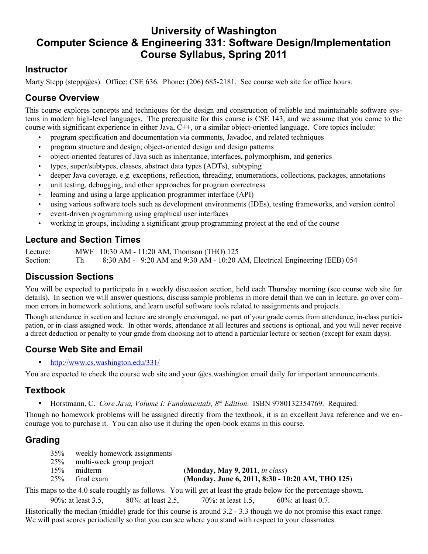# **University of Washington Computer Science & Engineering 331: Software Design/Implementation Course Syllabus, Spring 2011**

### **Instructor**

Marty Stepp (stepp@cs). Office: CSE 636. Phone:  $(206)$  685-2181. See course web site for office hours.

# **Course Overview**

This course explores concepts and techniques for the design and construction of reliable and maintainable software systems in modern high-level languages. The prerequisite for this course is CSE 143, and we assume that you come to the course with significant experience in either Java,  $\ddot{C}$ ++, or a similar object-oriented language. Core topics include:

- program specification and documentation via comments, Javadoc, and related techniques
- program structure and design; object-oriented design and design patterns
- object-oriented features of Java such as inheritance, interfaces, polymorphism, and generics
- types, super/subtypes, classes, abstract data types (ADTs), subtyping
- deeper Java coverage, e.g. exceptions, reflection, threading, enumerations, collections, packages, annotations
- unit testing, debugging, and other approaches for program correctness
- learning and using a large application programmer interface (API)
- using various software tools such as development environments (IDEs), testing frameworks, and version control
- event-driven programming using graphical user interfaces
- working in groups, including a significant group programming project at the end of the course

### **Lecture and Section Times**

Lecture: MWF 10:30 AM - 11:20 AM, Thomson (THO) 125 Section: Th 8:30 AM - 9:20 AM and 9:30 AM - 10:20 AM, Electrical Engineering (EEB) 054

#### **Discussion Sections**

You will be expected to participate in a weekly discussion section, held each Thursday morning (see course web site for details). In section we will answer questions, discuss sample problems in more detail than we can in lecture, go over common errors in homework solutions, and learn useful software tools related to assignments and projects.

Though attendance in section and lecture are strongly encouraged, no part of your grade comes from attendance, in-class participation, or in-class assigned work. In other words, attendance at all lectures and sections is optional, and you will never receive a direct deduction or penalty to your grade from choosing not to attend a particular lecture or section (except for exam days).

### **Course Web Site and Email**

•<http://www.cs.washington.edu/331/>

You are expected to check the course web site and your @cs.washington email daily for important announcements.

#### **Textbook**

• Horstmann, C. *Core Java, Volume I: Fundamentals, 8th Edition*. ISBN 9780132354769. Required.

Though no homework problems will be assigned directly from the textbook, it is an excellent Java reference and we encourage you to purchase it. You can also use it during the open-book exams in this course.

### **Grading**

| 35% | weekly homework assignments  |                                                  |
|-----|------------------------------|--------------------------------------------------|
|     | 25% multi-week group project |                                                  |
| 15% | midterm                      | (Monday, May 9, 2011, in class)                  |
| 25% | final exam                   | (Monday, June 6, 2011, 8:30 - 10:20 AM, THO 125) |
|     |                              |                                                  |

This maps to the 4.0 scale roughly as follows. You will get at least the grade below for the percentage shown.

90%: at least 3.5, 80%: at least 2.5, 70%: at least 1.5, 60%: at least 0.7.

Historically the median (middle) grade for this course is around 3.2 - 3.3 though we do not promise this exact range. We will post scores periodically so that you can see where you stand with respect to your classmates.